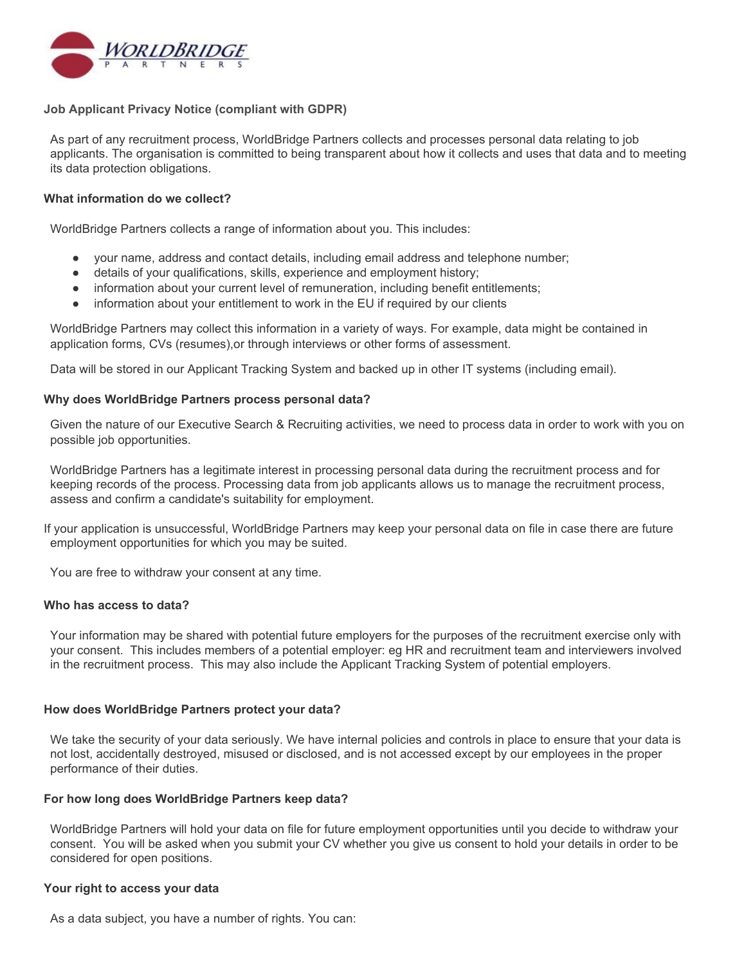

# **Job Applicant Privacy Notice (compliant with GDPR)**

As part of any recruitment process, WorldBridge Partners collects and processes personal data relating to job applicants. The organisation is committed to being transparent about how it collects and uses that data and to meeting its data protection obligations.

## **What information do we collect?**

WorldBridge Partners collects a range of information about you. This includes:

- your name, address and contact details, including email address and telephone number;
- details of your qualifications, skills, experience and employment history;
- information about your current level of remuneration, including benefit entitlements;
- information about your entitlement to work in the EU if required by our clients

WorldBridge Partners may collect this information in a variety of ways. For example, data might be contained in application forms, CVs (resumes),or through interviews or other forms of assessment.

Data will be stored in our Applicant Tracking System and backed up in other IT systems (including email).

## **Why does WorldBridge Partners process personal data?**

Given the nature of our Executive Search & Recruiting activities, we need to process data in order to work with you on possible job opportunities.

WorldBridge Partners has a legitimate interest in processing personal data during the recruitment process and for keeping records of the process. Processing data from job applicants allows us to manage the recruitment process, assess and confirm a candidate's suitability for employment.

If your application is unsuccessful, WorldBridge Partners may keep your personal data on file in case there are future employment opportunities for which you may be suited.

You are free to withdraw your consent at any time.

## **Who has access to data?**

Your information may be shared with potential future employers for the purposes of the recruitment exercise only with your consent. This includes members of a potential employer: eg HR and recruitment team and interviewers involved in the recruitment process. This may also include the Applicant Tracking System of potential employers.

## **How does WorldBridge Partners protect your data?**

We take the security of your data seriously. We have internal policies and controls in place to ensure that your data is not lost, accidentally destroyed, misused or disclosed, and is not accessed except by our employees in the proper performance of their duties.

## **For how long does WorldBridge Partners keep data?**

WorldBridge Partners will hold your data on file for future employment opportunities until you decide to withdraw your consent. You will be asked when you submit your CV whether you give us consent to hold your details in order to be considered for open positions.

## **Your right to access your data**

As a data subject, you have a number of rights. You can: